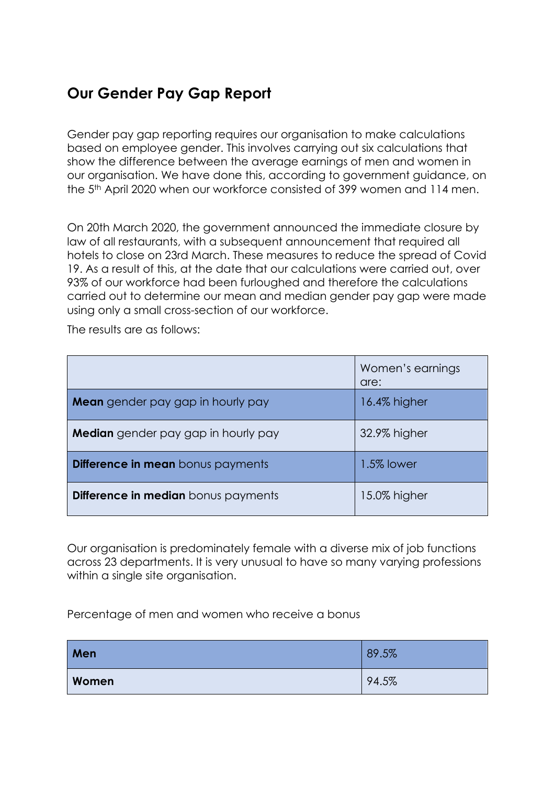## **Our Gender Pay Gap Report**

Gender pay gap reporting requires our organisation to make calculations based on employee gender. This involves carrying out six calculations that show the difference between the average earnings of men and women in our organisation. We have done this, according to government guidance, on the 5th April 2020 when our workforce consisted of 399 women and 114 men.

On 20th March 2020, the government announced the immediate closure by law of all restaurants, with a subsequent announcement that required all hotels to close on 23rd March. These measures to reduce the spread of Covid 19. As a result of this, at the date that our calculations were carried out, over 93% of our workforce had been furloughed and therefore the calculations carried out to determine our mean and median gender pay gap were made using only a small cross-section of our workforce.

The results are as follows:

|                                          | Women's earnings<br>are: |
|------------------------------------------|--------------------------|
| <b>Mean</b> gender pay gap in hourly pay | 16.4% higher             |
| Median gender pay gap in hourly pay      | 32.9% higher             |
| Difference in mean bonus payments        | 1.5% lower               |
| Difference in median bonus payments      | 15.0% higher             |

Our organisation is predominately female with a diverse mix of job functions across 23 departments. It is very unusual to have so many varying professions within a single site organisation.

Percentage of men and women who receive a bonus

| Men   | 89.5% |
|-------|-------|
| Women | 94.5% |